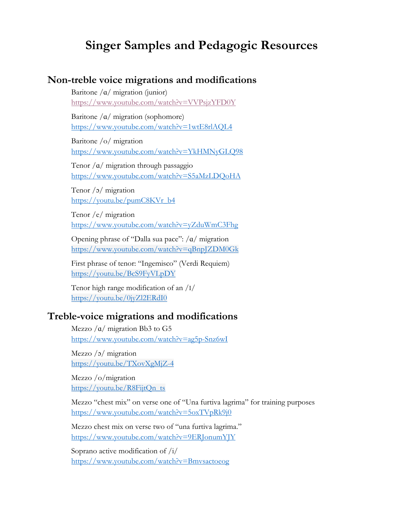# **Singer Samples and Pedagogic Resources**

#### **Non-treble voice migrations and modifications**

Baritone  $\alpha$  migration (junior) https://www.youtube.com/watch?v=VVPsjzYFD0Y

Baritone  $/\alpha$  migration (sophomore) https://www.youtube.com/watch?v=1wtE8rlAQL4

Baritone /o/ migration https://www.youtube.com/watch?v=YkHMNyGLQ98

Tenor  $\alpha$  migration through passaggio https://www.youtube.com/watch?v=S5aMzLDQoHA

Tenor /ɔ/ migration https://youtu.be/pumC8KVr\_b4

Tenor /e/ migration https://www.youtube.com/watch?v=yZduWmC3Fhg

Opening phrase of "Dalla sua pace": /ɑ/ migration https://www.youtube.com/watch?v=qBnpJZDM0Gk

First phrase of tenor: "Ingemisco" (Verdi Requiem) https://youtu.be/BcS9FyVLpDY

Tenor high range modification of an /I/ https://youtu.be/0jyZl2ERdI0

#### **Treble-voice migrations and modifications**

Mezzo  $\alpha$  migration Bb3 to G5 https://www.youtube.com/watch?v=ag5p-Snz6wI

Mezzo /ɔ/ migration https://youtu.be/TXovXgMjZ-4

Mezzo /o/migration https://youtu.be/R8FijtQn\_ts

Mezzo "chest mix" on verse one of "Una furtiva lagrima" for training purposes https://www.youtube.com/watch?v=5oxTVpRk9j0

Mezzo chest mix on verse two of "una furtiva lagrima." https://www.youtube.com/watch?v=9ERJonumYJY

Soprano active modification of /i/ https://www.youtube.com/watch?v=Bmvsactoeog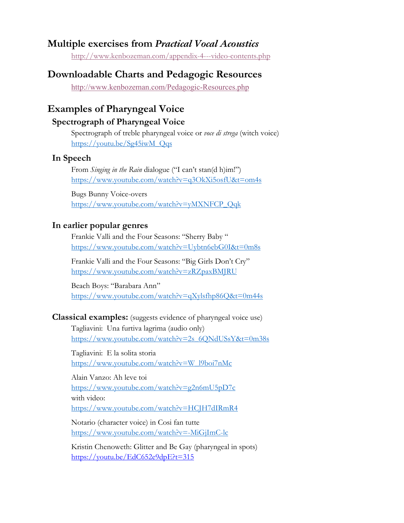### **Multiple exercises from** *Practical Vocal Acoustics*

http://www.kenbozeman.com/appendix-4---video-contents.php

## **Downloadable Charts and Pedagogic Resources**

http://www.kenbozeman.com/Pedagogic-Resources.php

## **Examples of Pharyngeal Voice**

#### **Spectrograph of Pharyngeal Voice**

Spectrograph of treble pharyngeal voice or *voce di strega* (witch voice) https://youtu.be/Sg45iwM\_Qqs

#### **In Speech**

From *Singing in the Rain* dialogue ("I can't stan(d h)im!") https://www.youtube.com/watch?v=q3OkXi5osfU&t=om4s

Bugs Bunny Voice-overs https://www.youtube.com/watch?v=yMXNFCP\_Qqk

#### **In earlier popular genres**

Frankie Valli and the Four Seasons: "Sherry Baby " https://www.youtube.com/watch?v=Uybtn6ebG0I&t=0m8s

Frankie Valli and the Four Seasons: "Big Girls Don't Cry" https://www.youtube.com/watch?v=zRZpaxBMJRU

Beach Boys: "Barabara Ann" https://www.youtube.com/watch?v=qXylsfhp86Q&t=0m44s

#### **Classical examples:** (suggests evidence of pharyngeal voice use)

Tagliavini: Una furtiva lagrima (audio only) https://www.youtube.com/watch?v=2s\_6QNdUSsY&t=0m38s

Tagliavini: E la solita storia https://www.youtube.com/watch?v=W\_l9boi7nMc

Alain Vanzo: Ah leve toi https://www.youtube.com/watch?v=g2n6mU5pD7c with video: https://www.youtube.com/watch?v=HCJH7dIRmR4

Notario (character voice) in Cosi fan tutte https://www.youtube.com/watch?v=-MiGjImC-lc

Kristin Chenoweth: Glitter and Be Gay (pharyngeal in spots) https://youtu.be/EdC652e9dpE?t=315